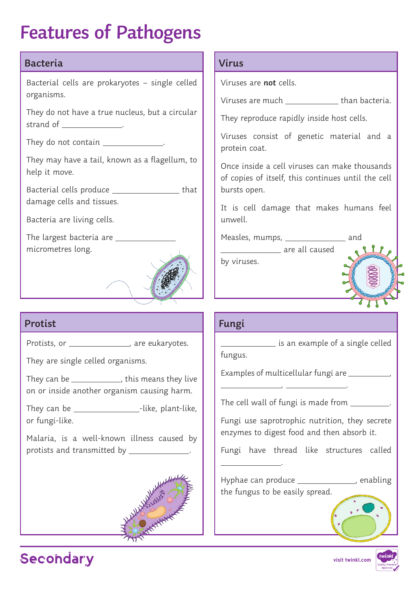# **Features of Pathogens**

#### **Bacteria**

Bacterial cells are prokaryotes – single celled organisms.

They do not have a true nucleus, but a circular strand of \_\_\_\_\_\_\_\_\_\_\_\_\_\_\_.

They do not contain  $\blacksquare$ 

They may have a tail, known as a flagellum, to help it move.

Bacterial cells produce that damage cells and tissues.

Bacteria are living cells.

The largest bacteria are micrometres long.



### **Protist**

Protists, or \_\_\_\_\_\_\_\_\_\_\_\_\_\_\_\_, are eukaryotes.

They are single celled organisms.

They can be  $\frac{1}{2}$ , this means they live on or inside another organism causing harm.

They can be \_\_\_\_\_\_\_\_\_\_\_\_\_\_\_\_\_\_\_\_\_\_\_-like, plant-like, or fungi-like.

Malaria, is a well-known illness caused by protists and transmitted by \_\_\_\_\_\_\_\_\_\_\_\_\_\_.



#### **Virus**

Viruses are **not** cells.

Viruses are much \_\_\_\_\_\_\_\_\_\_\_\_\_\_\_\_ than bacteria.

They reproduce rapidly inside host cells.

Viruses consist of genetic material and a protein coat.

Once inside a cell viruses can make thousands of copies of itself, this continues until the cell bursts open.

It is cell damage that makes humans feel unwell.

Measles, mumps, \_\_\_\_\_\_\_\_\_\_\_\_\_\_\_\_\_\_ and

 are all caused by viruses.

### **Fungi**

is an example of a single celled

fungus.

.

Examples of multicellular fungi are \_\_\_\_\_\_\_\_\_\_\_,

, .

The cell wall of fungi is made from

Fungi use saprotrophic nutrition, they secrete enzymes to digest food and then absorb it.

Fungi have thread like structures called

Hyphae can produce \_\_\_\_\_\_\_\_\_\_\_\_\_\_, enabling the fungus to be easily spread.



 $222$ 

## Secondary